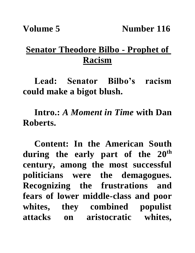## **Senator Theodore Bilbo - Prophet of Racism**

**Lead: Senator Bilbo's racism could make a bigot blush.**

**Intro.:** *A Moment in Time* **with Dan Roberts.**

**Content: In the American South during the early part of the 20th century, among the most successful politicians were the demagogues. Recognizing the frustrations and fears of lower middle-class and poor whites, they combined populist attacks on aristocratic whites,**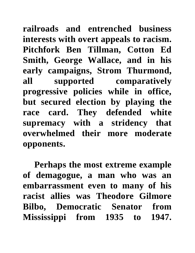**railroads and entrenched business interests with overt appeals to racism. Pitchfork Ben Tillman, Cotton Ed Smith, George Wallace, and in his early campaigns, Strom Thurmond, all supported comparatively progressive policies while in office, but secured election by playing the race card. They defended white supremacy with a stridency that overwhelmed their more moderate opponents.**

**Perhaps the most extreme example of demagogue, a man who was an embarrassment even to many of his racist allies was Theodore Gilmore Bilbo, Democratic Senator from Mississippi from 1935 to 1947.**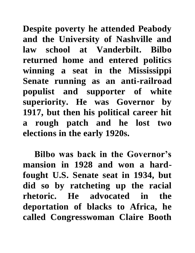**Despite poverty he attended Peabody and the University of Nashville and law school at Vanderbilt. Bilbo returned home and entered politics winning a seat in the Mississippi Senate running as an anti-railroad populist and supporter of white superiority. He was Governor by 1917, but then his political career hit a rough patch and he lost two elections in the early 1920s.** 

**Bilbo was back in the Governor's mansion in 1928 and won a hardfought U.S. Senate seat in 1934, but did so by ratcheting up the racial rhetoric. He advocated in the deportation of blacks to Africa, he called Congresswoman Claire Booth**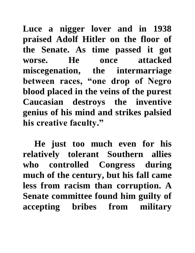**Luce a nigger lover and in 1938 praised Adolf Hitler on the floor of the Senate. As time passed it got worse. He once attacked miscegenation, the intermarriage between races, "one drop of Negro blood placed in the veins of the purest Caucasian destroys the inventive genius of his mind and strikes palsied his creative faculty."** 

**He just too much even for his relatively tolerant Southern allies who controlled Congress during much of the century, but his fall came less from racism than corruption. A Senate committee found him guilty of accepting bribes from military**